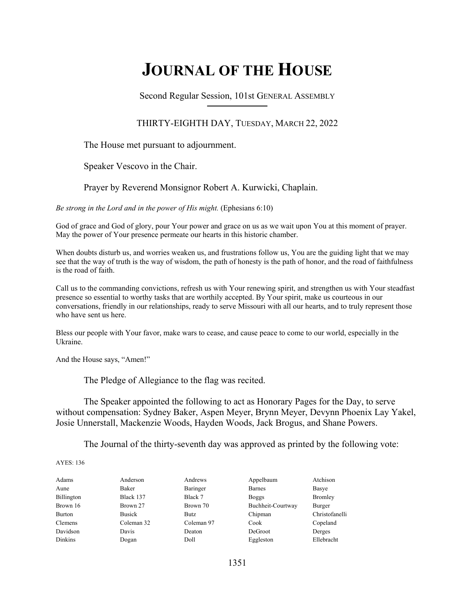# **JOURNAL OF THE HOUSE**

Second Regular Session, 101st GENERAL ASSEMBLY **\_\_\_\_\_\_\_\_\_\_\_\_\_\_\_\_\_\_\_\_\_\_\_\_\_\_**

# THIRTY-EIGHTH DAY, TUESDAY, MARCH 22, 2022

The House met pursuant to adjournment.

Speaker Vescovo in the Chair.

Prayer by Reverend Monsignor Robert A. Kurwicki, Chaplain.

*Be strong in the Lord and in the power of His might.* (Ephesians 6:10)

God of grace and God of glory, pour Your power and grace on us as we wait upon You at this moment of prayer. May the power of Your presence permeate our hearts in this historic chamber.

When doubts disturb us, and worries weaken us, and frustrations follow us, You are the guiding light that we may see that the way of truth is the way of wisdom, the path of honesty is the path of honor, and the road of faithfulness is the road of faith.

Call us to the commanding convictions, refresh us with Your renewing spirit, and strengthen us with Your steadfast presence so essential to worthy tasks that are worthily accepted. By Your spirit, make us courteous in our conversations, friendly in our relationships, ready to serve Missouri with all our hearts, and to truly represent those who have sent us here.

Bless our people with Your favor, make wars to cease, and cause peace to come to our world, especially in the Ukraine.

And the House says, "Amen!"

The Pledge of Allegiance to the flag was recited.

 The Speaker appointed the following to act as Honorary Pages for the Day, to serve without compensation: Sydney Baker, Aspen Meyer, Brynn Meyer, Devynn Phoenix Lay Yakel, Josie Unnerstall, Mackenzie Woods, Hayden Woods, Jack Brogus, and Shane Powers.

The Journal of the thirty-seventh day was approved as printed by the following vote:

AYES: 136

| Adams          | Anderson      | Andrews    | Appelbaum         | Atchison       |
|----------------|---------------|------------|-------------------|----------------|
| Aune           | Baker         | Baringer   | <b>Barnes</b>     | Basye          |
| Billington     | Black 137     | Black 7    | <b>Boggs</b>      | <b>Bromley</b> |
| Brown 16       | Brown 27      | Brown 70   | Buchheit-Courtway | Burger         |
| <b>Burton</b>  | <b>Busick</b> | Butz.      | Chipman           | Christofanelli |
| Clemens        | Coleman 32    | Coleman 97 | Cook              | Copeland       |
| Davidson       | Davis         | Deaton     | DeGroot           | Derges         |
| <b>Dinkins</b> | Dogan         | Doll       | Eggleston         | Ellebracht     |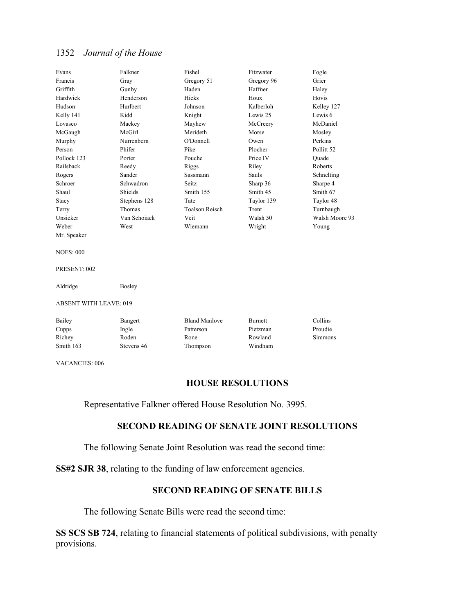| Evans                         | Falkner       | Fishel                | Fitzwater      | Fogle          |  |
|-------------------------------|---------------|-----------------------|----------------|----------------|--|
| Francis                       | Gray          | Gregory 51            | Gregory 96     | Grier          |  |
| Griffith                      | Gunby         | Haden                 | Haffner        | Haley          |  |
| Hardwick                      | Henderson     | Hicks                 | Houx           | Hovis          |  |
| Hudson                        | Hurlbert      | Johnson               | Kalberloh      | Kelley 127     |  |
| Kelly 141                     | Kidd          | Knight                | Lewis 25       | Lewis 6        |  |
| Lovasco                       | Mackey        | Mayhew                | McCreery       | McDaniel       |  |
| McGaugh                       | McGirl        | Merideth              | Morse          | Mosley         |  |
| Murphy                        | Nurrenbern    | O'Donnell             | Owen           | Perkins        |  |
| Person                        | Phifer        | Pike                  | Plocher        | Pollitt 52     |  |
| Pollock 123                   | Porter        | Pouche                | Price IV       | Ouade          |  |
| Railsback                     | Reedy         | Riggs                 | Riley          | Roberts        |  |
| Rogers                        | Sander        | Sassmann              | Sauls          | Schnelting     |  |
| Schroer                       | Schwadron     | Seitz                 | Sharp 36       | Sharpe 4       |  |
| Shaul                         | Shields       | Smith 155             | Smith 45       | Smith 67       |  |
| Stacy                         | Stephens 128  | Tate                  | Taylor 139     | Taylor 48      |  |
| Terry                         | Thomas        | <b>Toalson Reisch</b> | Trent          | Turnbaugh      |  |
| Unsicker                      | Van Schoiack  | Veit                  | Walsh 50       | Walsh Moore 93 |  |
| Weber                         | West          | Wiemann               | Wright         | Young          |  |
| Mr. Speaker                   |               |                       |                |                |  |
| <b>NOES: 000</b>              |               |                       |                |                |  |
| PRESENT: 002                  |               |                       |                |                |  |
| Aldridge                      | <b>Bosley</b> |                       |                |                |  |
| <b>ABSENT WITH LEAVE: 019</b> |               |                       |                |                |  |
| Bailey                        | Bangert       | <b>Bland Manlove</b>  | <b>Burnett</b> | Collins        |  |
| Cupps                         | Ingle         | Patterson             | Pietzman       | Proudie        |  |
| Richey                        | Roden         | Rone                  | Rowland        | <b>Simmons</b> |  |
| Smith 163                     | Stevens 46    | Thompson              | Windham        |                |  |
|                               |               |                       |                |                |  |

VACANCIES: 006

## **HOUSE RESOLUTIONS**

Representative Falkner offered House Resolution No. 3995.

# **SECOND READING OF SENATE JOINT RESOLUTIONS**

The following Senate Joint Resolution was read the second time:

**SS#2 SJR 38**, relating to the funding of law enforcement agencies.

# **SECOND READING OF SENATE BILLS**

The following Senate Bills were read the second time:

**SS SCS SB 724**, relating to financial statements of political subdivisions, with penalty provisions.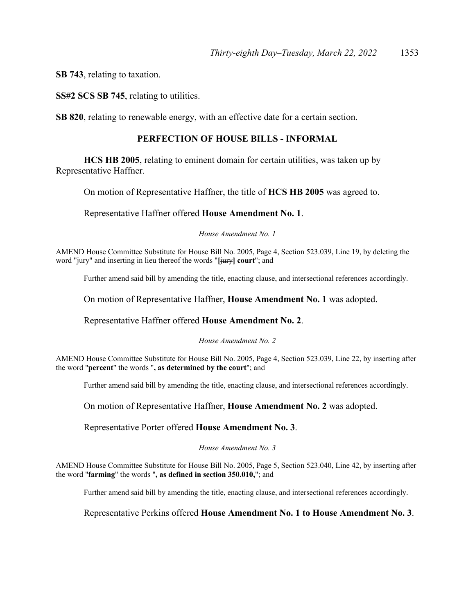**SB 743**, relating to taxation.

**SS#2 SCS SB 745**, relating to utilities.

**SB 820**, relating to renewable energy, with an effective date for a certain section.

## **PERFECTION OF HOUSE BILLS - INFORMAL**

**HCS HB 2005**, relating to eminent domain for certain utilities, was taken up by Representative Haffner.

On motion of Representative Haffner, the title of **HCS HB 2005** was agreed to.

Representative Haffner offered **House Amendment No. 1**.

#### *House Amendment No. 1*

AMEND House Committee Substitute for House Bill No. 2005, Page 4, Section 523.039, Line 19, by deleting the word "jury" and inserting in lieu thereof the words "**[**jury**] court**"; and

Further amend said bill by amending the title, enacting clause, and intersectional references accordingly.

On motion of Representative Haffner, **House Amendment No. 1** was adopted.

Representative Haffner offered **House Amendment No. 2**.

#### *House Amendment No. 2*

AMEND House Committee Substitute for House Bill No. 2005, Page 4, Section 523.039, Line 22, by inserting after the word "**percent**" the words "**, as determined by the court**"; and

Further amend said bill by amending the title, enacting clause, and intersectional references accordingly.

On motion of Representative Haffner, **House Amendment No. 2** was adopted.

Representative Porter offered **House Amendment No. 3**.

#### *House Amendment No. 3*

AMEND House Committee Substitute for House Bill No. 2005, Page 5, Section 523.040, Line 42, by inserting after the word "**farming**" the words "**, as defined in section 350.010,**"; and

Further amend said bill by amending the title, enacting clause, and intersectional references accordingly.

#### Representative Perkins offered **House Amendment No. 1 to House Amendment No. 3**.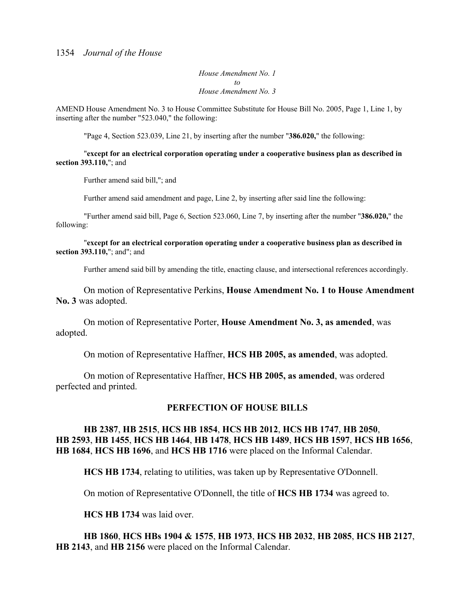*House Amendment No. 1 to House Amendment No. 3*

AMEND House Amendment No. 3 to House Committee Substitute for House Bill No. 2005, Page 1, Line 1, by inserting after the number "523.040," the following:

"Page 4, Section 523.039, Line 21, by inserting after the number "**386.020,**" the following:

 "**except for an electrical corporation operating under a cooperative business plan as described in section 393.110,**"; and

Further amend said bill,"; and

Further amend said amendment and page, Line 2, by inserting after said line the following:

 "Further amend said bill, Page 6, Section 523.060, Line 7, by inserting after the number "**386.020,**" the following:

 "**except for an electrical corporation operating under a cooperative business plan as described in section 393.110,**"; and"; and

Further amend said bill by amending the title, enacting clause, and intersectional references accordingly.

 On motion of Representative Perkins, **House Amendment No. 1 to House Amendment No. 3** was adopted.

 On motion of Representative Porter, **House Amendment No. 3, as amended**, was adopted.

On motion of Representative Haffner, **HCS HB 2005, as amended**, was adopted.

 On motion of Representative Haffner, **HCS HB 2005, as amended**, was ordered perfected and printed.

#### **PERFECTION OF HOUSE BILLS**

# **HB 2387**, **HB 2515**, **HCS HB 1854**, **HCS HB 2012**, **HCS HB 1747**, **HB 2050**, **HB 2593**, **HB 1455**, **HCS HB 1464**, **HB 1478**, **HCS HB 1489**, **HCS HB 1597**, **HCS HB 1656**, **HB 1684**, **HCS HB 1696**, and **HCS HB 1716** were placed on the Informal Calendar.

**HCS HB 1734**, relating to utilities, was taken up by Representative O'Donnell.

On motion of Representative O'Donnell, the title of **HCS HB 1734** was agreed to.

**HCS HB 1734** was laid over.

**HB 1860**, **HCS HBs 1904 & 1575**, **HB 1973**, **HCS HB 2032**, **HB 2085**, **HCS HB 2127**, **HB 2143**, and **HB 2156** were placed on the Informal Calendar.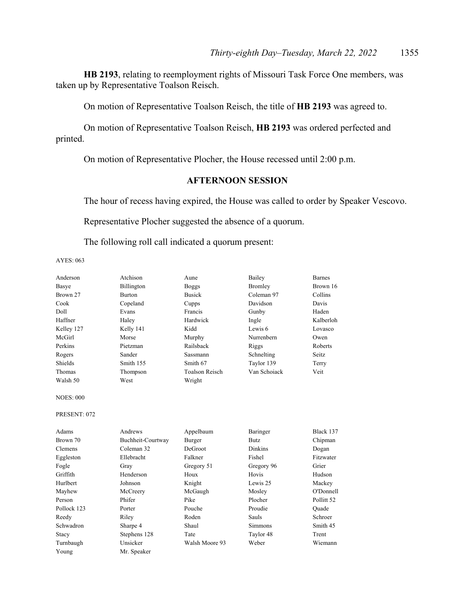**HB 2193**, relating to reemployment rights of Missouri Task Force One members, was taken up by Representative Toalson Reisch.

On motion of Representative Toalson Reisch, the title of **HB 2193** was agreed to.

 On motion of Representative Toalson Reisch, **HB 2193** was ordered perfected and printed.

On motion of Representative Plocher, the House recessed until 2:00 p.m.

# **AFTERNOON SESSION**

The hour of recess having expired, the House was called to order by Speaker Vescovo.

Representative Plocher suggested the absence of a quorum.

The following roll call indicated a quorum present:

AYES: 063

| Anderson         | Atchison          | Aune                  | Bailey         | <b>Barnes</b>         |
|------------------|-------------------|-----------------------|----------------|-----------------------|
| Basye            | Billington        | <b>Boggs</b>          | Bromley        | Brown 16              |
| Brown 27         | <b>Burton</b>     | <b>Busick</b>         | Coleman 97     | Collins               |
| Cook             | Copeland          | Cupps                 | Davidson       | Davis                 |
| Doll             | Evans             | Francis               | Gunby          | Haden                 |
| Haffner          | Haley             | Hardwick              | Ingle          | Kalberloh             |
| Kelley 127       | Kelly 141         | Kidd                  | Lewis 6        | Lovasco               |
| McGirl           | Morse             | Murphy                | Nurrenbern     | Owen                  |
| Perkins          | Pietzman          | Railsback             | Riggs          | Roberts               |
| Rogers           | Sander            | Sassmann              | Schnelting     | Seitz.                |
| Shields          | Smith 155         | Smith 67              | Taylor 139     | Terry                 |
| Thomas           | Thompson          | <b>Toalson Reisch</b> | Van Schoiack   | Veit                  |
| Walsh 50         | West              | Wright                |                |                       |
| <b>NOES: 000</b> |                   |                       |                |                       |
| PRESENT: 072     |                   |                       |                |                       |
| Adams            | Andrews           | Appelbaum             | Baringer       | Black 137             |
| Brown 70         | Buchheit-Courtway | Burger                | <b>Butz</b>    | Chipman               |
| Clemens          | Coleman 32        | DeGroot               | <b>Dinkins</b> | Dogan                 |
| Eggleston        | Ellebracht        | Falkner               | Fishel         | Fitzwater             |
| Fogle            | Gray              | Gregory 51            | Gregory 96     | Grier                 |
| Griffith         | Henderson         | Houx                  | Hovis          | Hudson                |
| Hurlbert         | Johnson           | Knight                | Lewis 25       | Mackey                |
| Mayhew           | McCreery          | McGaugh               | Mosley         | O'Donnell             |
| Person           | Phifer            | Pike                  | Plocher        | Pollitt <sub>52</sub> |
| Pollock 123      | Porter            | Pouche                | Proudie        | Ouade                 |
| Reedy            | Riley             | Roden                 | Sauls          | Schroer               |
| Schwadron        | Sharpe 4          | Shaul                 | <b>Simmons</b> | Smith 45              |
| Stacy            | Stephens 128      | Tate                  | Taylor 48      | Trent                 |
| Turnbaugh        | Unsicker          | Walsh Moore 93        | Weber          | Wiemann               |
| Young            | Mr. Speaker       |                       |                |                       |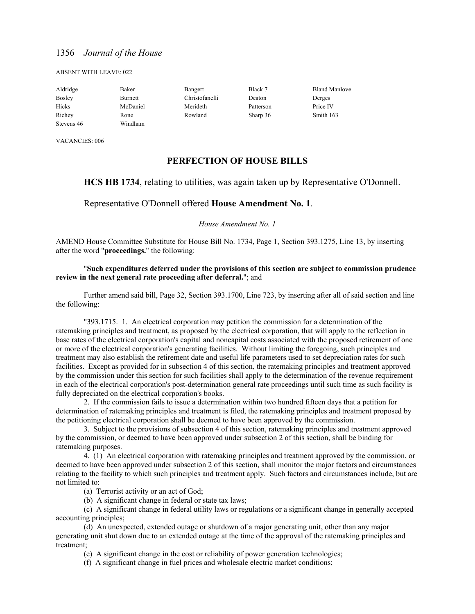#### ABSENT WITH LEAVE: 022

| Aldridge      | Baker    | Bangert        | Black 7   | <b>Bland Manlove</b> |
|---------------|----------|----------------|-----------|----------------------|
| <b>Bosley</b> | Burnett  | Christofanelli | Deaton    | Derges               |
| Hicks         | McDaniel | Merideth       | Patterson | Price IV             |
| Richey        | Rone     | Rowland        | Sharp 36  | Smith 163            |
| Stevens 46    | Windham  |                |           |                      |

VACANCIES: 006

## **PERFECTION OF HOUSE BILLS**

#### **HCS HB 1734**, relating to utilities, was again taken up by Representative O'Donnell.

#### Representative O'Donnell offered **House Amendment No. 1**.

#### *House Amendment No. 1*

AMEND House Committee Substitute for House Bill No. 1734, Page 1, Section 393.1275, Line 13, by inserting after the word "**proceedings.**" the following:

#### "**Such expenditures deferred under the provisions of this section are subject to commission prudence review in the next general rate proceeding after deferral.**"; and

 Further amend said bill, Page 32, Section 393.1700, Line 723, by inserting after all of said section and line the following:

"393.1715. 1. An electrical corporation may petition the commission for a determination of the ratemaking principles and treatment, as proposed by the electrical corporation, that will apply to the reflection in base rates of the electrical corporation's capital and noncapital costs associated with the proposed retirement of one or more of the electrical corporation's generating facilities. Without limiting the foregoing, such principles and treatment may also establish the retirement date and useful life parameters used to set depreciation rates for such facilities. Except as provided for in subsection 4 of this section, the ratemaking principles and treatment approved by the commission under this section for such facilities shall apply to the determination of the revenue requirement in each of the electrical corporation's post-determination general rate proceedings until such time as such facility is fully depreciated on the electrical corporation's books.

 2. If the commission fails to issue a determination within two hundred fifteen days that a petition for determination of ratemaking principles and treatment is filed, the ratemaking principles and treatment proposed by the petitioning electrical corporation shall be deemed to have been approved by the commission.

 3. Subject to the provisions of subsection 4 of this section, ratemaking principles and treatment approved by the commission, or deemed to have been approved under subsection 2 of this section, shall be binding for ratemaking purposes.

 4. (1) An electrical corporation with ratemaking principles and treatment approved by the commission, or deemed to have been approved under subsection 2 of this section, shall monitor the major factors and circumstances relating to the facility to which such principles and treatment apply. Such factors and circumstances include, but are not limited to:

(a) Terrorist activity or an act of God;

(b) A significant change in federal or state tax laws;

 (c) A significant change in federal utility laws or regulations or a significant change in generally accepted accounting principles;

 (d) An unexpected, extended outage or shutdown of a major generating unit, other than any major generating unit shut down due to an extended outage at the time of the approval of the ratemaking principles and treatment;

(e) A significant change in the cost or reliability of power generation technologies;

(f) A significant change in fuel prices and wholesale electric market conditions;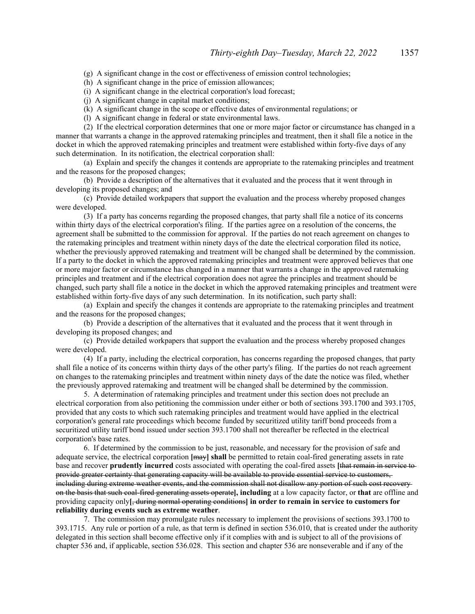(g) A significant change in the cost or effectiveness of emission control technologies;

(h) A significant change in the price of emission allowances;

(i) A significant change in the electrical corporation's load forecast;

(j) A significant change in capital market conditions;

(k) A significant change in the scope or effective dates of environmental regulations; or

(l) A significant change in federal or state environmental laws.

 (2) If the electrical corporation determines that one or more major factor or circumstance has changed in a manner that warrants a change in the approved ratemaking principles and treatment, then it shall file a notice in the docket in which the approved ratemaking principles and treatment were established within forty-five days of any such determination. In its notification, the electrical corporation shall:

 (a) Explain and specify the changes it contends are appropriate to the ratemaking principles and treatment and the reasons for the proposed changes;

 (b) Provide a description of the alternatives that it evaluated and the process that it went through in developing its proposed changes; and

 (c) Provide detailed workpapers that support the evaluation and the process whereby proposed changes were developed.

 (3) If a party has concerns regarding the proposed changes, that party shall file a notice of its concerns within thirty days of the electrical corporation's filing. If the parties agree on a resolution of the concerns, the agreement shall be submitted to the commission for approval. If the parties do not reach agreement on changes to the ratemaking principles and treatment within ninety days of the date the electrical corporation filed its notice, whether the previously approved ratemaking and treatment will be changed shall be determined by the commission. If a party to the docket in which the approved ratemaking principles and treatment were approved believes that one or more major factor or circumstance has changed in a manner that warrants a change in the approved ratemaking principles and treatment and if the electrical corporation does not agree the principles and treatment should be changed, such party shall file a notice in the docket in which the approved ratemaking principles and treatment were established within forty-five days of any such determination. In its notification, such party shall:

 (a) Explain and specify the changes it contends are appropriate to the ratemaking principles and treatment and the reasons for the proposed changes;

 (b) Provide a description of the alternatives that it evaluated and the process that it went through in developing its proposed changes; and

 (c) Provide detailed workpapers that support the evaluation and the process whereby proposed changes were developed.

 (4) If a party, including the electrical corporation, has concerns regarding the proposed changes, that party shall file a notice of its concerns within thirty days of the other party's filing. If the parties do not reach agreement on changes to the ratemaking principles and treatment within ninety days of the date the notice was filed, whether the previously approved ratemaking and treatment will be changed shall be determined by the commission.

 5. A determination of ratemaking principles and treatment under this section does not preclude an electrical corporation from also petitioning the commission under either or both of sections 393.1700 and 393.1705, provided that any costs to which such ratemaking principles and treatment would have applied in the electrical corporation's general rate proceedings which become funded by securitized utility tariff bond proceeds from a securitized utility tariff bond issued under section 393.1700 shall not thereafter be reflected in the electrical corporation's base rates.

 6. If determined by the commission to be just, reasonable, and necessary for the provision of safe and adequate service, the electrical corporation **[**may**] shall** be permitted to retain coal-fired generating assets in rate base and recover **prudently incurred** costs associated with operating the coal-fired assets **[**that remain in service to provide greater certainty that generating capacity will be available to provide essential service to customers, including during extreme weather events, and the commission shall not disallow any portion of such cost recovery on the basis that such coal-fired generating assets operate**], including** at a low capacity factor, or **that** are offline and providing capacity only**[**, during normal operating conditions**] in order to remain in service to customers for reliability during events such as extreme weather**.

 7. The commission may promulgate rules necessary to implement the provisions of sections 393.1700 to 393.1715. Any rule or portion of a rule, as that term is defined in section 536.010, that is created under the authority delegated in this section shall become effective only if it complies with and is subject to all of the provisions of chapter 536 and, if applicable, section 536.028. This section and chapter 536 are nonseverable and if any of the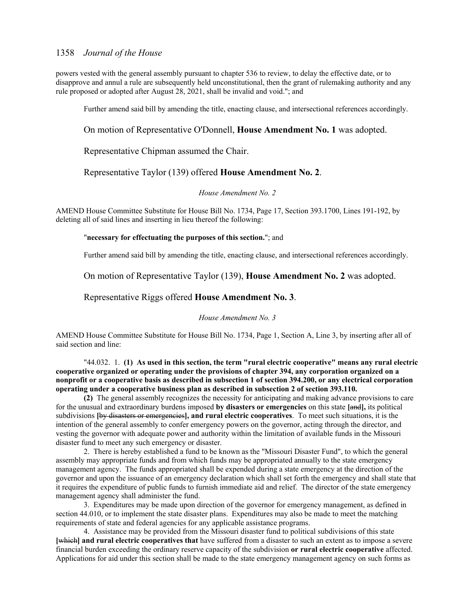powers vested with the general assembly pursuant to chapter 536 to review, to delay the effective date, or to disapprove and annul a rule are subsequently held unconstitutional, then the grant of rulemaking authority and any rule proposed or adopted after August 28, 2021, shall be invalid and void."; and

Further amend said bill by amending the title, enacting clause, and intersectional references accordingly.

#### On motion of Representative O'Donnell, **House Amendment No. 1** was adopted.

Representative Chipman assumed the Chair.

## Representative Taylor (139) offered **House Amendment No. 2**.

#### *House Amendment No. 2*

AMEND House Committee Substitute for House Bill No. 1734, Page 17, Section 393.1700, Lines 191-192, by deleting all of said lines and inserting in lieu thereof the following:

#### "**necessary for effectuating the purposes of this section.**"; and

Further amend said bill by amending the title, enacting clause, and intersectional references accordingly.

#### On motion of Representative Taylor (139), **House Amendment No. 2** was adopted.

#### Representative Riggs offered **House Amendment No. 3**.

#### *House Amendment No. 3*

AMEND House Committee Substitute for House Bill No. 1734, Page 1, Section A, Line 3, by inserting after all of said section and line:

"44.032. 1. **(1) As used in this section, the term "rural electric cooperative" means any rural electric cooperative organized or operating under the provisions of chapter 394, any corporation organized on a nonprofit or a cooperative basis as described in subsection 1 of section 394.200, or any electrical corporation operating under a cooperative business plan as described in subsection 2 of section 393.110.**

**(2)** The general assembly recognizes the necessity for anticipating and making advance provisions to care for the unusual and extraordinary burdens imposed **by disasters or emergencies** on this state **[**and**],** its political subdivisions **[**by disasters or emergencies**], and rural electric cooperatives**. To meet such situations, it is the intention of the general assembly to confer emergency powers on the governor, acting through the director, and vesting the governor with adequate power and authority within the limitation of available funds in the Missouri disaster fund to meet any such emergency or disaster.

2. There is hereby established a fund to be known as the "Missouri Disaster Fund", to which the general assembly may appropriate funds and from which funds may be appropriated annually to the state emergency management agency. The funds appropriated shall be expended during a state emergency at the direction of the governor and upon the issuance of an emergency declaration which shall set forth the emergency and shall state that it requires the expenditure of public funds to furnish immediate aid and relief. The director of the state emergency management agency shall administer the fund.

3. Expenditures may be made upon direction of the governor for emergency management, as defined in section 44.010, or to implement the state disaster plans. Expenditures may also be made to meet the matching requirements of state and federal agencies for any applicable assistance programs.

4. Assistance may be provided from the Missouri disaster fund to political subdivisions of this state **[**which**] and rural electric cooperatives that** have suffered from a disaster to such an extent as to impose a severe financial burden exceeding the ordinary reserve capacity of the subdivision **or rural electric cooperative** affected. Applications for aid under this section shall be made to the state emergency management agency on such forms as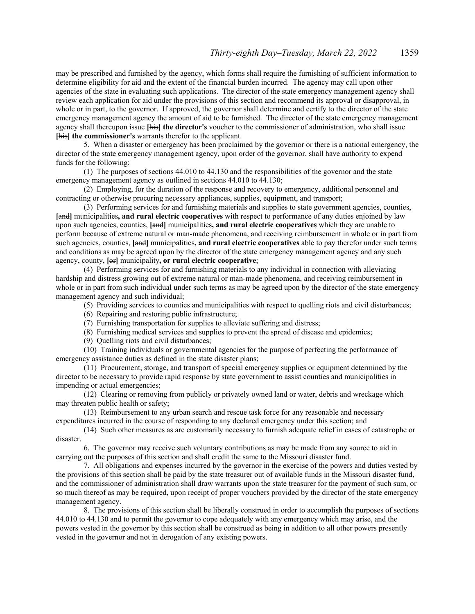may be prescribed and furnished by the agency, which forms shall require the furnishing of sufficient information to determine eligibility for aid and the extent of the financial burden incurred. The agency may call upon other agencies of the state in evaluating such applications. The director of the state emergency management agency shall review each application for aid under the provisions of this section and recommend its approval or disapproval, in whole or in part, to the governor. If approved, the governor shall determine and certify to the director of the state emergency management agency the amount of aid to be furnished. The director of the state emergency management agency shall thereupon issue **[**his**] the director's** voucher to the commissioner of administration, who shall issue **[**his**] the commissioner's** warrants therefor to the applicant.

5. When a disaster or emergency has been proclaimed by the governor or there is a national emergency, the director of the state emergency management agency, upon order of the governor, shall have authority to expend funds for the following:

(1) The purposes of sections 44.010 to 44.130 and the responsibilities of the governor and the state emergency management agency as outlined in sections 44.010 to 44.130;

(2) Employing, for the duration of the response and recovery to emergency, additional personnel and contracting or otherwise procuring necessary appliances, supplies, equipment, and transport;

(3) Performing services for and furnishing materials and supplies to state government agencies, counties, **[**and**]** municipalities**, and rural electric cooperatives** with respect to performance of any duties enjoined by law upon such agencies, counties, **[**and**]** municipalities**, and rural electric cooperatives** which they are unable to perform because of extreme natural or man-made phenomena, and receiving reimbursement in whole or in part from such agencies, counties, [and] municipalities, and rural electric cooperatives able to pay therefor under such terms and conditions as may be agreed upon by the director of the state emergency management agency and any such agency, county, **[**or**]** municipality**, or rural electric cooperative**;

(4) Performing services for and furnishing materials to any individual in connection with alleviating hardship and distress growing out of extreme natural or man-made phenomena, and receiving reimbursement in whole or in part from such individual under such terms as may be agreed upon by the director of the state emergency management agency and such individual;

(5) Providing services to counties and municipalities with respect to quelling riots and civil disturbances;

(6) Repairing and restoring public infrastructure;

(7) Furnishing transportation for supplies to alleviate suffering and distress;

(8) Furnishing medical services and supplies to prevent the spread of disease and epidemics;

(9) Quelling riots and civil disturbances;

(10) Training individuals or governmental agencies for the purpose of perfecting the performance of emergency assistance duties as defined in the state disaster plans;

(11) Procurement, storage, and transport of special emergency supplies or equipment determined by the director to be necessary to provide rapid response by state government to assist counties and municipalities in impending or actual emergencies;

(12) Clearing or removing from publicly or privately owned land or water, debris and wreckage which may threaten public health or safety;

(13) Reimbursement to any urban search and rescue task force for any reasonable and necessary expenditures incurred in the course of responding to any declared emergency under this section; and

(14) Such other measures as are customarily necessary to furnish adequate relief in cases of catastrophe or disaster.

6. The governor may receive such voluntary contributions as may be made from any source to aid in carrying out the purposes of this section and shall credit the same to the Missouri disaster fund.

7. All obligations and expenses incurred by the governor in the exercise of the powers and duties vested by the provisions of this section shall be paid by the state treasurer out of available funds in the Missouri disaster fund, and the commissioner of administration shall draw warrants upon the state treasurer for the payment of such sum, or so much thereof as may be required, upon receipt of proper vouchers provided by the director of the state emergency management agency.

8. The provisions of this section shall be liberally construed in order to accomplish the purposes of sections 44.010 to 44.130 and to permit the governor to cope adequately with any emergency which may arise, and the powers vested in the governor by this section shall be construed as being in addition to all other powers presently vested in the governor and not in derogation of any existing powers.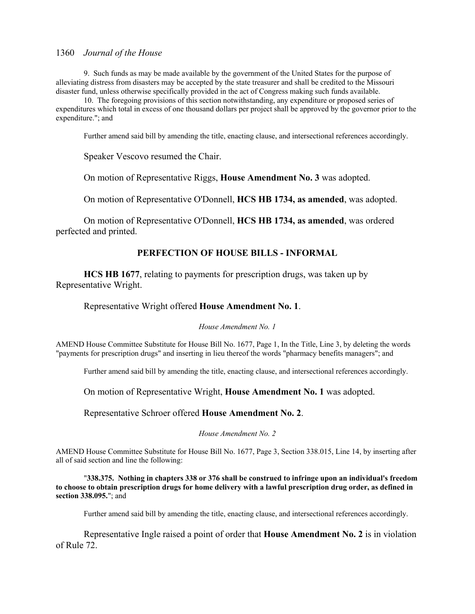9. Such funds as may be made available by the government of the United States for the purpose of alleviating distress from disasters may be accepted by the state treasurer and shall be credited to the Missouri disaster fund, unless otherwise specifically provided in the act of Congress making such funds available.

10. The foregoing provisions of this section notwithstanding, any expenditure or proposed series of expenditures which total in excess of one thousand dollars per project shall be approved by the governor prior to the expenditure."; and

Further amend said bill by amending the title, enacting clause, and intersectional references accordingly.

Speaker Vescovo resumed the Chair.

On motion of Representative Riggs, **House Amendment No. 3** was adopted.

On motion of Representative O'Donnell, **HCS HB 1734, as amended**, was adopted.

 On motion of Representative O'Donnell, **HCS HB 1734, as amended**, was ordered perfected and printed.

#### **PERFECTION OF HOUSE BILLS - INFORMAL**

**HCS HB 1677**, relating to payments for prescription drugs, was taken up by Representative Wright.

#### Representative Wright offered **House Amendment No. 1**.

#### *House Amendment No. 1*

AMEND House Committee Substitute for House Bill No. 1677, Page 1, In the Title, Line 3, by deleting the words "payments for prescription drugs" and inserting in lieu thereof the words "pharmacy benefits managers"; and

Further amend said bill by amending the title, enacting clause, and intersectional references accordingly.

On motion of Representative Wright, **House Amendment No. 1** was adopted.

Representative Schroer offered **House Amendment No. 2**.

*House Amendment No. 2*

AMEND House Committee Substitute for House Bill No. 1677, Page 3, Section 338.015, Line 14, by inserting after all of said section and line the following:

"**338.375. Nothing in chapters 338 or 376 shall be construed to infringe upon an individual's freedom to choose to obtain prescription drugs for home delivery with a lawful prescription drug order, as defined in section 338.095.**"; and

Further amend said bill by amending the title, enacting clause, and intersectional references accordingly.

 Representative Ingle raised a point of order that **House Amendment No. 2** is in violation of Rule 72.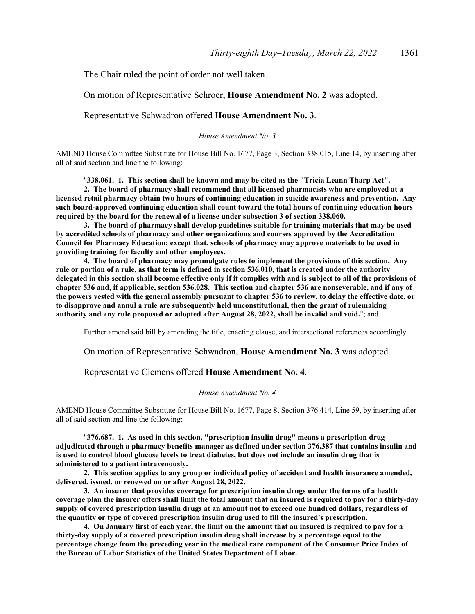The Chair ruled the point of order not well taken.

On motion of Representative Schroer, **House Amendment No. 2** was adopted.

Representative Schwadron offered **House Amendment No. 3**.

*House Amendment No. 3*

AMEND House Committee Substitute for House Bill No. 1677, Page 3, Section 338.015, Line 14, by inserting after all of said section and line the following:

"**338.061. 1. This section shall be known and may be cited as the "Tricia Leann Tharp Act".**

**2. The board of pharmacy shall recommend that all licensed pharmacists who are employed at a licensed retail pharmacy obtain two hours of continuing education in suicide awareness and prevention. Any such board-approved continuing education shall count toward the total hours of continuing education hours required by the board for the renewal of a license under subsection 3 of section 338.060.**

**3. The board of pharmacy shall develop guidelines suitable for training materials that may be used by accredited schools of pharmacy and other organizations and courses approved by the Accreditation Council for Pharmacy Education; except that, schools of pharmacy may approve materials to be used in providing training for faculty and other employees.**

**4. The board of pharmacy may promulgate rules to implement the provisions of this section. Any rule or portion of a rule, as that term is defined in section 536.010, that is created under the authority delegated in this section shall become effective only if it complies with and is subject to all of the provisions of chapter 536 and, if applicable, section 536.028. This section and chapter 536 are nonseverable, and if any of the powers vested with the general assembly pursuant to chapter 536 to review, to delay the effective date, or to disapprove and annul a rule are subsequently held unconstitutional, then the grant of rulemaking authority and any rule proposed or adopted after August 28, 2022, shall be invalid and void.**"; and

Further amend said bill by amending the title, enacting clause, and intersectional references accordingly.

On motion of Representative Schwadron, **House Amendment No. 3** was adopted.

Representative Clemens offered **House Amendment No. 4**.

#### *House Amendment No. 4*

AMEND House Committee Substitute for House Bill No. 1677, Page 8, Section 376.414, Line 59, by inserting after all of said section and line the following:

"**376.687. 1. As used in this section, "prescription insulin drug" means a prescription drug adjudicated through a pharmacy benefits manager as defined under section 376.387 that contains insulin and is used to control blood glucose levels to treat diabetes, but does not include an insulin drug that is administered to a patient intravenously.**

**2. This section applies to any group or individual policy of accident and health insurance amended, delivered, issued, or renewed on or after August 28, 2022.**

**3. An insurer that provides coverage for prescription insulin drugs under the terms of a health coverage plan the insurer offers shall limit the total amount that an insured is required to pay for a thirty-day supply of covered prescription insulin drugs at an amount not to exceed one hundred dollars, regardless of the quantity or type of covered prescription insulin drug used to fill the insured's prescription.**

**4. On January first of each year, the limit on the amount that an insured is required to pay for a thirty-day supply of a covered prescription insulin drug shall increase by a percentage equal to the percentage change from the preceding year in the medical care component of the Consumer Price Index of the Bureau of Labor Statistics of the United States Department of Labor.**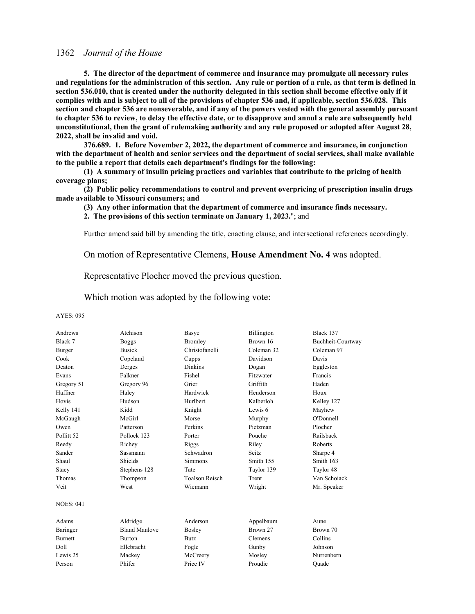**5. The director of the department of commerce and insurance may promulgate all necessary rules and regulations for the administration of this section. Any rule or portion of a rule, as that term is defined in section 536.010, that is created under the authority delegated in this section shall become effective only if it complies with and is subject to all of the provisions of chapter 536 and, if applicable, section 536.028. This section and chapter 536 are nonseverable, and if any of the powers vested with the general assembly pursuant to chapter 536 to review, to delay the effective date, or to disapprove and annul a rule are subsequently held unconstitutional, then the grant of rulemaking authority and any rule proposed or adopted after August 28, 2022, shall be invalid and void.**

**376.689. 1. Before November 2, 2022, the department of commerce and insurance, in conjunction with the department of health and senior services and the department of social services, shall make available to the public a report that details each department's findings for the following:**

**(1) A summary of insulin pricing practices and variables that contribute to the pricing of health coverage plans;**

**(2) Public policy recommendations to control and prevent overpricing of prescription insulin drugs made available to Missouri consumers; and**

**(3) Any other information that the department of commerce and insurance finds necessary.**

**2. The provisions of this section terminate on January 1, 2023.**"; and

Further amend said bill by amending the title, enacting clause, and intersectional references accordingly.

On motion of Representative Clemens, **House Amendment No. 4** was adopted.

Representative Plocher moved the previous question.

Which motion was adopted by the following vote:

#### AYES: 095

| Andrews               | Atchison             | Basye                 | Billington | Black 137         |
|-----------------------|----------------------|-----------------------|------------|-------------------|
| Black 7               | <b>Boggs</b>         | Bromley               | Brown 16   | Buchheit-Courtway |
| Burger                | <b>Busick</b>        | Christofanelli        | Coleman 32 | Coleman 97        |
| Cook                  | Copeland             | Cupps                 | Davidson   | Davis             |
| Deaton                | Derges               | <b>Dinkins</b>        | Dogan      | Eggleston         |
| Evans                 | Falkner              | Fishel                | Fitzwater  | Francis           |
| Gregory 51            | Gregory 96           | Grier                 | Griffith   | Haden             |
| Haffner               | Haley                | Hardwick              | Henderson  | Houx              |
| Hovis                 | Hudson               | Hurlbert              | Kalberloh  | Kelley 127        |
| Kelly 141             | Kidd                 | Knight                | Lewis 6    | Mayhew            |
| McGaugh               | McGirl               | Morse                 | Murphy     | O'Donnell         |
| Owen                  | Patterson            | Perkins               | Pietzman   | Plocher           |
| Pollitt <sub>52</sub> | Pollock 123          | Porter                | Pouche     | Railsback         |
| Reedy                 | Richey               | Riggs                 | Riley      | Roberts           |
| Sander                | <b>Sassmann</b>      | Schwadron             | Seitz.     | Sharpe 4          |
| Shaul                 | Shields              | <b>Simmons</b>        | Smith 155  | Smith 163         |
| Stacy                 | Stephens 128         | Tate                  | Taylor 139 | Taylor 48         |
| Thomas                | Thompson             | <b>Toalson Reisch</b> | Trent      | Van Schoiack      |
| Veit                  | West                 | Wiemann               | Wright     | Mr. Speaker       |
| <b>NOES: 041</b>      |                      |                       |            |                   |
| Adams                 | Aldridge             | Anderson              | Appelbaum  | Aune              |
| Baringer              | <b>Bland Manlove</b> | Bosley                | Brown 27   | Brown 70          |
| <b>Burnett</b>        | <b>Burton</b>        | <b>Butz</b>           | Clemens    | Collins           |
| Doll                  | Ellebracht           | Fogle                 | Gunby      | Johnson           |
| Lewis 25              | Mackey               | McCreery              | Mosley     | Nurrenbern        |
| Person                | Phifer               | Price IV              | Proudie    | Ouade             |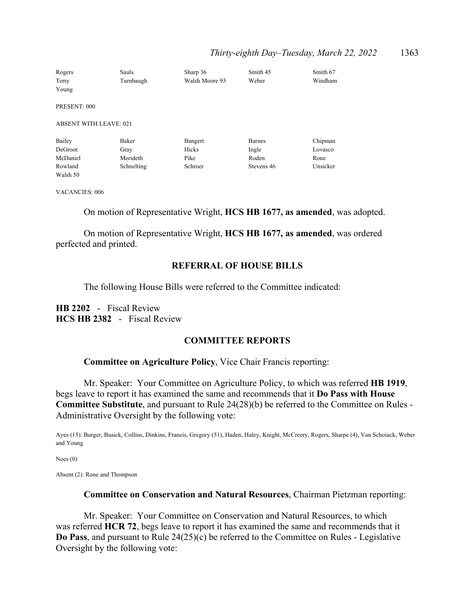## *Thirty-eighth Day–Tuesday, March 22, 2022* 1363

| Rogers                        | Sauls        | Sharp 36       | Smith 45      | Smith 67 |
|-------------------------------|--------------|----------------|---------------|----------|
| Terry                         | Turnbaugh    | Walsh Moore 93 | Weber         | Windham  |
| Young                         |              |                |               |          |
| PRESENT: 000                  |              |                |               |          |
|                               |              |                |               |          |
| <b>ABSENT WITH LEAVE: 021</b> |              |                |               |          |
| Bailey                        | <b>Baker</b> | Bangert        | <b>Barnes</b> | Chipman  |
| DeGroot                       | Gray         | Hicks          | Ingle         | Lovasco  |
| McDaniel                      | Merideth     | Pike           | Roden         | Rone     |
| Rowland                       | Schnelting   | Schroer        | Stevens 46    | Unsicker |
| Walsh 50                      |              |                |               |          |

VACANCIES: 006

On motion of Representative Wright, **HCS HB 1677, as amended**, was adopted.

 On motion of Representative Wright, **HCS HB 1677, as amended**, was ordered perfected and printed.

# **REFERRAL OF HOUSE BILLS**

The following House Bills were referred to the Committee indicated:

**HB 2202** - Fiscal Review **HCS HB 2382** - Fiscal Review

#### **COMMITTEE REPORTS**

#### **Committee on Agriculture Policy**, Vice Chair Francis reporting:

 Mr. Speaker: Your Committee on Agriculture Policy, to which was referred **HB 1919**, begs leave to report it has examined the same and recommends that it **Do Pass with House Committee Substitute**, and pursuant to Rule 24(28)(b) be referred to the Committee on Rules - Administrative Oversight by the following vote:

Ayes (15): Burger, Busick, Collins, Dinkins, Francis, Gregory (51), Haden, Haley, Knight, McCreery, Rogers, Sharpe (4), Van Schoiack, Weber and Young

Noes (0)

Absent (2): Rone and Thompson

#### **Committee on Conservation and Natural Resources**, Chairman Pietzman reporting:

 Mr. Speaker: Your Committee on Conservation and Natural Resources, to which was referred **HCR 72**, begs leave to report it has examined the same and recommends that it **Do Pass**, and pursuant to Rule 24(25)(c) be referred to the Committee on Rules - Legislative Oversight by the following vote: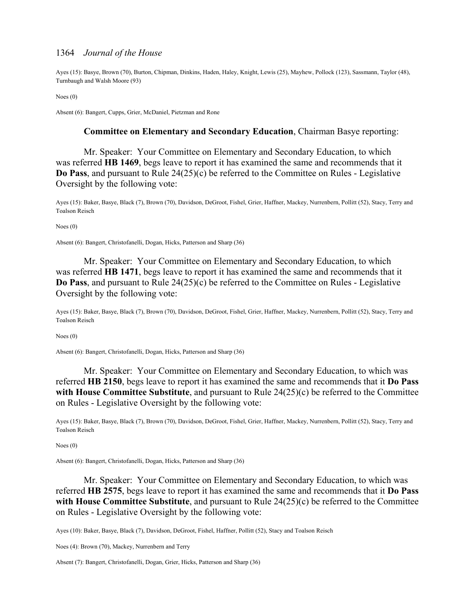Ayes (15): Basye, Brown (70), Burton, Chipman, Dinkins, Haden, Haley, Knight, Lewis (25), Mayhew, Pollock (123), Sassmann, Taylor (48), Turnbaugh and Walsh Moore (93)

Noes (0)

Absent (6): Bangert, Cupps, Grier, McDaniel, Pietzman and Rone

#### **Committee on Elementary and Secondary Education**, Chairman Basye reporting:

 Mr. Speaker: Your Committee on Elementary and Secondary Education, to which was referred **HB 1469**, begs leave to report it has examined the same and recommends that it **Do Pass**, and pursuant to Rule 24(25)(c) be referred to the Committee on Rules - Legislative Oversight by the following vote:

Ayes (15): Baker, Basye, Black (7), Brown (70), Davidson, DeGroot, Fishel, Grier, Haffner, Mackey, Nurrenbern, Pollitt (52), Stacy, Terry and Toalson Reisch

Noes (0)

Absent (6): Bangert, Christofanelli, Dogan, Hicks, Patterson and Sharp (36)

 Mr. Speaker: Your Committee on Elementary and Secondary Education, to which was referred **HB 1471**, begs leave to report it has examined the same and recommends that it **Do Pass**, and pursuant to Rule 24(25)(c) be referred to the Committee on Rules - Legislative Oversight by the following vote:

Ayes (15): Baker, Basye, Black (7), Brown (70), Davidson, DeGroot, Fishel, Grier, Haffner, Mackey, Nurrenbern, Pollitt (52), Stacy, Terry and Toalson Reisch

Noes (0)

Absent (6): Bangert, Christofanelli, Dogan, Hicks, Patterson and Sharp (36)

 Mr. Speaker: Your Committee on Elementary and Secondary Education, to which was referred **HB 2150**, begs leave to report it has examined the same and recommends that it **Do Pass with House Committee Substitute**, and pursuant to Rule 24(25)(c) be referred to the Committee on Rules - Legislative Oversight by the following vote:

Ayes (15): Baker, Basye, Black (7), Brown (70), Davidson, DeGroot, Fishel, Grier, Haffner, Mackey, Nurrenbern, Pollitt (52), Stacy, Terry and Toalson Reisch

Noes (0)

Absent (6): Bangert, Christofanelli, Dogan, Hicks, Patterson and Sharp (36)

 Mr. Speaker: Your Committee on Elementary and Secondary Education, to which was referred **HB 2575**, begs leave to report it has examined the same and recommends that it **Do Pass with House Committee Substitute**, and pursuant to Rule 24(25)(c) be referred to the Committee on Rules - Legislative Oversight by the following vote:

Ayes (10): Baker, Basye, Black (7), Davidson, DeGroot, Fishel, Haffner, Pollitt (52), Stacy and Toalson Reisch

Noes (4): Brown (70), Mackey, Nurrenbern and Terry

Absent (7): Bangert, Christofanelli, Dogan, Grier, Hicks, Patterson and Sharp (36)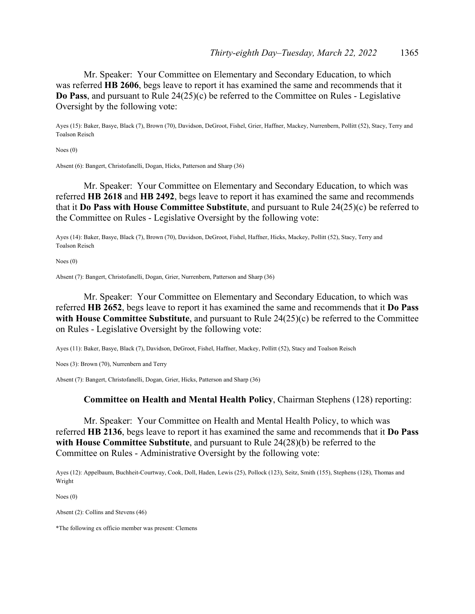Mr. Speaker: Your Committee on Elementary and Secondary Education, to which was referred **HB 2606**, begs leave to report it has examined the same and recommends that it **Do Pass**, and pursuant to Rule 24(25)(c) be referred to the Committee on Rules - Legislative Oversight by the following vote:

Ayes (15): Baker, Basye, Black (7), Brown (70), Davidson, DeGroot, Fishel, Grier, Haffner, Mackey, Nurrenbern, Pollitt (52), Stacy, Terry and Toalson Reisch

Noes (0)

Absent (6): Bangert, Christofanelli, Dogan, Hicks, Patterson and Sharp (36)

 Mr. Speaker: Your Committee on Elementary and Secondary Education, to which was referred **HB 2618** and **HB 2492**, begs leave to report it has examined the same and recommends that it **Do Pass with House Committee Substitute**, and pursuant to Rule 24(25)(c) be referred to the Committee on Rules - Legislative Oversight by the following vote:

Ayes (14): Baker, Basye, Black (7), Brown (70), Davidson, DeGroot, Fishel, Haffner, Hicks, Mackey, Pollitt (52), Stacy, Terry and Toalson Reisch

Noes (0)

Absent (7): Bangert, Christofanelli, Dogan, Grier, Nurrenbern, Patterson and Sharp (36)

 Mr. Speaker: Your Committee on Elementary and Secondary Education, to which was referred **HB 2652**, begs leave to report it has examined the same and recommends that it **Do Pass with House Committee Substitute**, and pursuant to Rule 24(25)(c) be referred to the Committee on Rules - Legislative Oversight by the following vote:

Ayes (11): Baker, Basye, Black (7), Davidson, DeGroot, Fishel, Haffner, Mackey, Pollitt (52), Stacy and Toalson Reisch

Noes (3): Brown (70), Nurrenbern and Terry

Absent (7): Bangert, Christofanelli, Dogan, Grier, Hicks, Patterson and Sharp (36)

## **Committee on Health and Mental Health Policy**, Chairman Stephens (128) reporting:

 Mr. Speaker: Your Committee on Health and Mental Health Policy, to which was referred **HB 2136**, begs leave to report it has examined the same and recommends that it **Do Pass with House Committee Substitute**, and pursuant to Rule 24(28)(b) be referred to the Committee on Rules - Administrative Oversight by the following vote:

Ayes (12): Appelbaum, Buchheit-Courtway, Cook, Doll, Haden, Lewis (25), Pollock (123), Seitz, Smith (155), Stephens (128), Thomas and Wright

Noes (0)

Absent (2): Collins and Stevens (46)

\*The following ex officio member was present: Clemens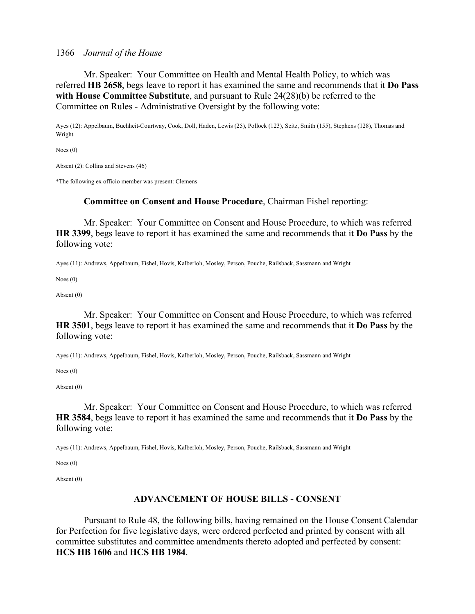Mr. Speaker: Your Committee on Health and Mental Health Policy, to which was referred **HB 2658**, begs leave to report it has examined the same and recommends that it **Do Pass with House Committee Substitute**, and pursuant to Rule 24(28)(b) be referred to the Committee on Rules - Administrative Oversight by the following vote:

Ayes (12): Appelbaum, Buchheit-Courtway, Cook, Doll, Haden, Lewis (25), Pollock (123), Seitz, Smith (155), Stephens (128), Thomas and Wright

Noes (0)

Absent (2): Collins and Stevens (46)

\*The following ex officio member was present: Clemens

#### **Committee on Consent and House Procedure**, Chairman Fishel reporting:

 Mr. Speaker: Your Committee on Consent and House Procedure, to which was referred **HR 3399**, begs leave to report it has examined the same and recommends that it **Do Pass** by the following vote:

Ayes (11): Andrews, Appelbaum, Fishel, Hovis, Kalberloh, Mosley, Person, Pouche, Railsback, Sassmann and Wright

Noes (0)

Absent (0)

 Mr. Speaker: Your Committee on Consent and House Procedure, to which was referred **HR 3501**, begs leave to report it has examined the same and recommends that it **Do Pass** by the following vote:

Ayes (11): Andrews, Appelbaum, Fishel, Hovis, Kalberloh, Mosley, Person, Pouche, Railsback, Sassmann and Wright

Noes (0)

Absent (0)

 Mr. Speaker: Your Committee on Consent and House Procedure, to which was referred **HR 3584**, begs leave to report it has examined the same and recommends that it **Do Pass** by the following vote:

Ayes (11): Andrews, Appelbaum, Fishel, Hovis, Kalberloh, Mosley, Person, Pouche, Railsback, Sassmann and Wright

Noes (0)

Absent (0)

## **ADVANCEMENT OF HOUSE BILLS - CONSENT**

 Pursuant to Rule 48, the following bills, having remained on the House Consent Calendar for Perfection for five legislative days, were ordered perfected and printed by consent with all committee substitutes and committee amendments thereto adopted and perfected by consent: **HCS HB 1606** and **HCS HB 1984**.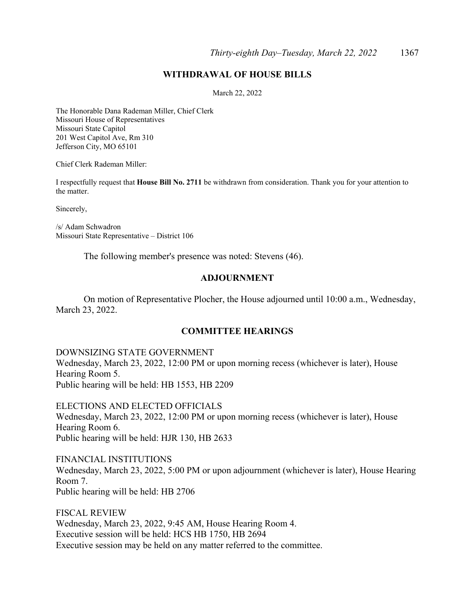# **WITHDRAWAL OF HOUSE BILLS**

March 22, 2022

The Honorable Dana Rademan Miller, Chief Clerk Missouri House of Representatives Missouri State Capitol 201 West Capitol Ave, Rm 310 Jefferson City, MO 65101

Chief Clerk Rademan Miller:

I respectfully request that **House Bill No. 2711** be withdrawn from consideration. Thank you for your attention to the matter.

Sincerely,

/s/ Adam Schwadron Missouri State Representative – District 106

The following member's presence was noted: Stevens (46).

## **ADJOURNMENT**

 On motion of Representative Plocher, the House adjourned until 10:00 a.m., Wednesday, March 23, 2022.

## **COMMITTEE HEARINGS**

DOWNSIZING STATE GOVERNMENT Wednesday, March 23, 2022, 12:00 PM or upon morning recess (whichever is later), House Hearing Room 5. Public hearing will be held: HB 1553, HB 2209

ELECTIONS AND ELECTED OFFICIALS Wednesday, March 23, 2022, 12:00 PM or upon morning recess (whichever is later), House Hearing Room 6. Public hearing will be held: HJR 130, HB 2633

FINANCIAL INSTITUTIONS Wednesday, March 23, 2022, 5:00 PM or upon adjournment (whichever is later), House Hearing Room 7. Public hearing will be held: HB 2706

FISCAL REVIEW Wednesday, March 23, 2022, 9:45 AM, House Hearing Room 4. Executive session will be held: HCS HB 1750, HB 2694 Executive session may be held on any matter referred to the committee.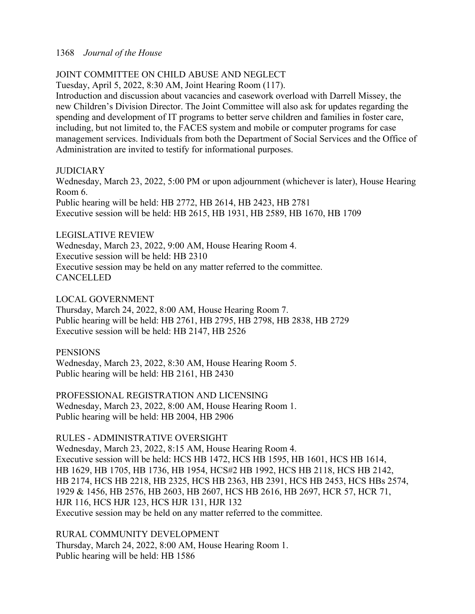# JOINT COMMITTEE ON CHILD ABUSE AND NEGLECT

Tuesday, April 5, 2022, 8:30 AM, Joint Hearing Room (117).

Introduction and discussion about vacancies and casework overload with Darrell Missey, the new Children's Division Director. The Joint Committee will also ask for updates regarding the spending and development of IT programs to better serve children and families in foster care, including, but not limited to, the FACES system and mobile or computer programs for case management services. Individuals from both the Department of Social Services and the Office of Administration are invited to testify for informational purposes.

# **JUDICIARY**

Wednesday, March 23, 2022, 5:00 PM or upon adjournment (whichever is later), House Hearing Room 6. Public hearing will be held: HB 2772, HB 2614, HB 2423, HB 2781

Executive session will be held: HB 2615, HB 1931, HB 2589, HB 1670, HB 1709

# LEGISLATIVE REVIEW

Wednesday, March 23, 2022, 9:00 AM, House Hearing Room 4. Executive session will be held: HB 2310 Executive session may be held on any matter referred to the committee. **CANCELLED** 

## LOCAL GOVERNMENT

Thursday, March 24, 2022, 8:00 AM, House Hearing Room 7. Public hearing will be held: HB 2761, HB 2795, HB 2798, HB 2838, HB 2729 Executive session will be held: HB 2147, HB 2526

## **PENSIONS**

Wednesday, March 23, 2022, 8:30 AM, House Hearing Room 5. Public hearing will be held: HB 2161, HB 2430

PROFESSIONAL REGISTRATION AND LICENSING

Wednesday, March 23, 2022, 8:00 AM, House Hearing Room 1. Public hearing will be held: HB 2004, HB 2906

# RULES - ADMINISTRATIVE OVERSIGHT

Wednesday, March 23, 2022, 8:15 AM, House Hearing Room 4. Executive session will be held: HCS HB 1472, HCS HB 1595, HB 1601, HCS HB 1614, HB 1629, HB 1705, HB 1736, HB 1954, HCS#2 HB 1992, HCS HB 2118, HCS HB 2142, HB 2174, HCS HB 2218, HB 2325, HCS HB 2363, HB 2391, HCS HB 2453, HCS HBs 2574, 1929 & 1456, HB 2576, HB 2603, HB 2607, HCS HB 2616, HB 2697, HCR 57, HCR 71, HJR 116, HCS HJR 123, HCS HJR 131, HJR 132 Executive session may be held on any matter referred to the committee.

# RURAL COMMUNITY DEVELOPMENT

Thursday, March 24, 2022, 8:00 AM, House Hearing Room 1. Public hearing will be held: HB 1586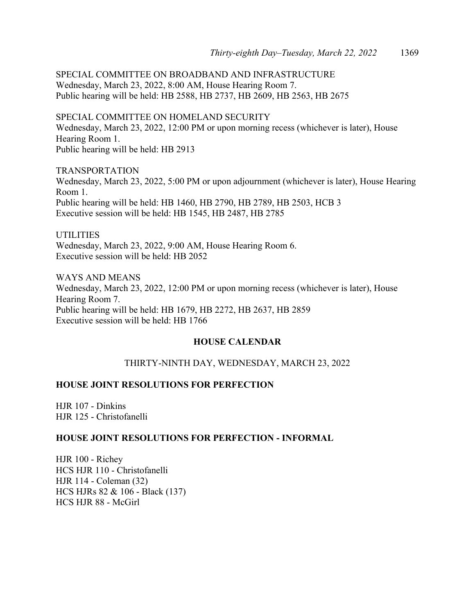SPECIAL COMMITTEE ON BROADBAND AND INFRASTRUCTURE Wednesday, March 23, 2022, 8:00 AM, House Hearing Room 7. Public hearing will be held: HB 2588, HB 2737, HB 2609, HB 2563, HB 2675

SPECIAL COMMITTEE ON HOMELAND SECURITY Wednesday, March 23, 2022, 12:00 PM or upon morning recess (whichever is later), House Hearing Room 1. Public hearing will be held: HB 2913

TRANSPORTATION Wednesday, March 23, 2022, 5:00 PM or upon adjournment (whichever is later), House Hearing Room 1. Public hearing will be held: HB 1460, HB 2790, HB 2789, HB 2503, HCB 3 Executive session will be held: HB 1545, HB 2487, HB 2785

UTILITIES Wednesday, March 23, 2022, 9:00 AM, House Hearing Room 6. Executive session will be held: HB 2052

WAYS AND MEANS Wednesday, March 23, 2022, 12:00 PM or upon morning recess (whichever is later), House Hearing Room 7. Public hearing will be held: HB 1679, HB 2272, HB 2637, HB 2859 Executive session will be held: HB 1766

# **HOUSE CALENDAR**

# THIRTY-NINTH DAY, WEDNESDAY, MARCH 23, 2022

# **HOUSE JOINT RESOLUTIONS FOR PERFECTION**

HJR 107 - Dinkins HJR 125 - Christofanelli

# **HOUSE JOINT RESOLUTIONS FOR PERFECTION - INFORMAL**

HJR 100 - Richey HCS HJR 110 - Christofanelli HJR 114 - Coleman (32) HCS HJRs 82 & 106 - Black (137) HCS HJR 88 - McGirl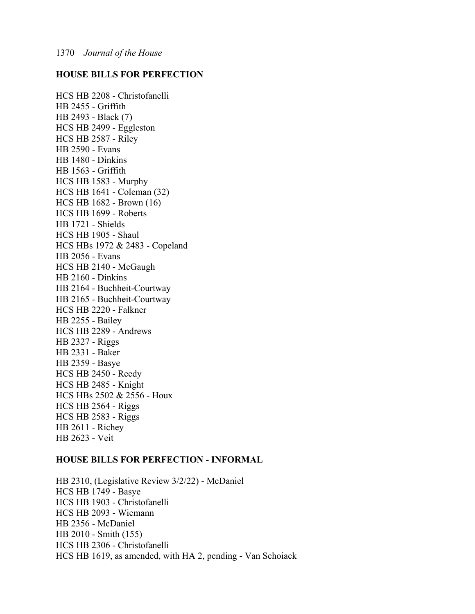# **HOUSE BILLS FOR PERFECTION**

HCS HB 2208 - Christofanelli HB 2455 - Griffith HB 2493 - Black (7) HCS HB 2499 - Eggleston HCS HB 2587 - Riley HB 2590 - Evans HB 1480 - Dinkins HB 1563 - Griffith HCS HB 1583 - Murphy HCS HB 1641 - Coleman (32) HCS HB 1682 - Brown (16) HCS HB 1699 - Roberts HB 1721 - Shields HCS HB 1905 - Shaul HCS HBs 1972 & 2483 - Copeland HB 2056 - Evans HCS HB 2140 - McGaugh HB 2160 - Dinkins HB 2164 - Buchheit-Courtway HB 2165 - Buchheit-Courtway HCS HB 2220 - Falkner HB 2255 - Bailey HCS HB 2289 - Andrews HB 2327 - Riggs HB 2331 - Baker HB 2359 - Basye HCS HB 2450 - Reedy HCS HB 2485 - Knight HCS HBs 2502 & 2556 - Houx HCS HB 2564 - Riggs HCS HB 2583 - Riggs HB 2611 - Richey HB 2623 - Veit

#### **HOUSE BILLS FOR PERFECTION - INFORMAL**

HB 2310, (Legislative Review 3/2/22) - McDaniel HCS HB 1749 - Basye HCS HB 1903 - Christofanelli HCS HB 2093 - Wiemann HB 2356 - McDaniel HB 2010 - Smith (155) HCS HB 2306 - Christofanelli HCS HB 1619, as amended, with HA 2, pending - Van Schoiack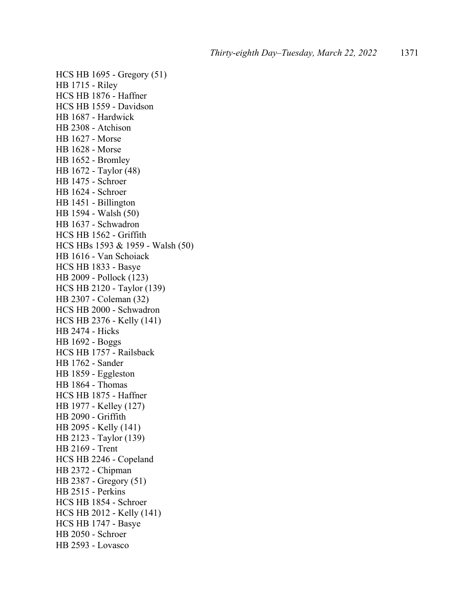HCS HB 1695 - Gregory (51) HB 1715 - Riley HCS HB 1876 - Haffner HCS HB 1559 - Davidson HB 1687 - Hardwick HB 2308 - Atchison HB 1627 - Morse HB 1628 - Morse HB 1652 - Bromley HB 1672 - Taylor (48) HB 1475 - Schroer HB 1624 - Schroer HB 1451 - Billington HB 1594 - Walsh (50) HB 1637 - Schwadron HCS HB 1562 - Griffith HCS HBs 1593 & 1959 - Walsh (50) HB 1616 - Van Schoiack HCS HB 1833 - Basye HB 2009 - Pollock (123) HCS HB 2120 - Taylor (139) HB 2307 - Coleman (32) HCS HB 2000 - Schwadron HCS HB 2376 - Kelly (141) HB 2474 - Hicks HB 1692 - Boggs HCS HB 1757 - Railsback HB 1762 - Sander HB 1859 - Eggleston HB 1864 - Thomas HCS HB 1875 - Haffner HB 1977 - Kelley (127) HB 2090 - Griffith HB 2095 - Kelly (141) HB 2123 - Taylor (139) HB 2169 - Trent HCS HB 2246 - Copeland HB 2372 - Chipman HB 2387 - Gregory (51) HB 2515 - Perkins HCS HB 1854 - Schroer HCS HB 2012 - Kelly (141) HCS HB 1747 - Basye HB 2050 - Schroer HB 2593 - Lovasco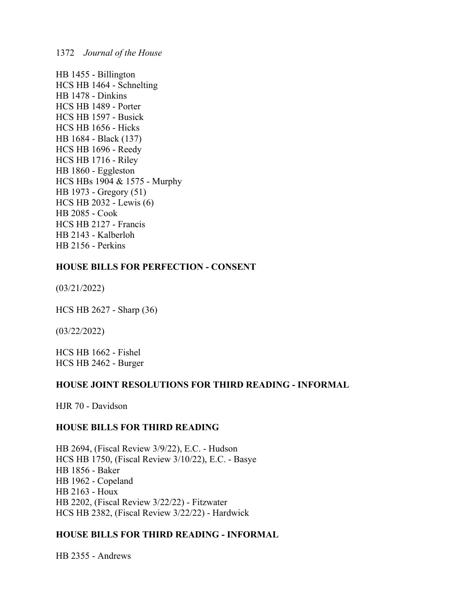HB 1455 - Billington HCS HB 1464 - Schnelting HB 1478 - Dinkins HCS HB 1489 - Porter HCS HB 1597 - Busick HCS HB 1656 - Hicks HB 1684 - Black (137) HCS HB 1696 - Reedy HCS HB 1716 - Riley HB 1860 - Eggleston HCS HBs 1904 & 1575 - Murphy HB 1973 - Gregory (51) HCS HB 2032 - Lewis (6) HB 2085 - Cook HCS HB 2127 - Francis HB 2143 - Kalberloh HB 2156 - Perkins

## **HOUSE BILLS FOR PERFECTION - CONSENT**

(03/21/2022)

HCS HB 2627 - Sharp (36)

(03/22/2022)

HCS HB 1662 - Fishel HCS HB 2462 - Burger

## **HOUSE JOINT RESOLUTIONS FOR THIRD READING - INFORMAL**

HJR 70 - Davidson

## **HOUSE BILLS FOR THIRD READING**

HB 2694, (Fiscal Review 3/9/22), E.C. - Hudson HCS HB 1750, (Fiscal Review 3/10/22), E.C. - Basye HB 1856 - Baker HB 1962 - Copeland HB 2163 - Houx HB 2202, (Fiscal Review 3/22/22) - Fitzwater HCS HB 2382, (Fiscal Review 3/22/22) - Hardwick

# **HOUSE BILLS FOR THIRD READING - INFORMAL**

HB 2355 - Andrews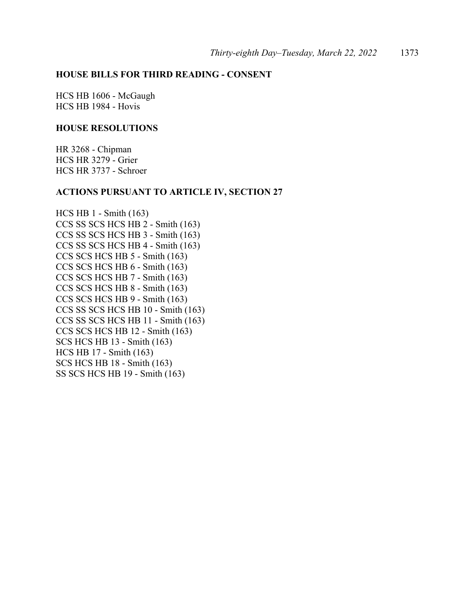# **HOUSE BILLS FOR THIRD READING - CONSENT**

HCS HB 1606 - McGaugh HCS HB 1984 - Hovis

## **HOUSE RESOLUTIONS**

HR 3268 - Chipman HCS HR 3279 - Grier HCS HR 3737 - Schroer

#### **ACTIONS PURSUANT TO ARTICLE IV, SECTION 27**

HCS HB 1 - Smith (163) CCS SS SCS HCS HB 2 - Smith (163) CCS SS SCS HCS HB 3 - Smith (163) CCS SS SCS HCS HB 4 - Smith (163) CCS SCS HCS HB 5 - Smith (163) CCS SCS HCS HB 6 - Smith (163) CCS SCS HCS HB 7 - Smith (163) CCS SCS HCS HB 8 - Smith (163) CCS SCS HCS HB 9 - Smith (163) CCS SS SCS HCS HB 10 - Smith (163) CCS SS SCS HCS HB 11 - Smith (163) CCS SCS HCS HB 12 - Smith (163) SCS HCS HB 13 - Smith (163) HCS HB 17 - Smith (163) SCS HCS HB 18 - Smith (163) SS SCS HCS HB 19 - Smith (163)